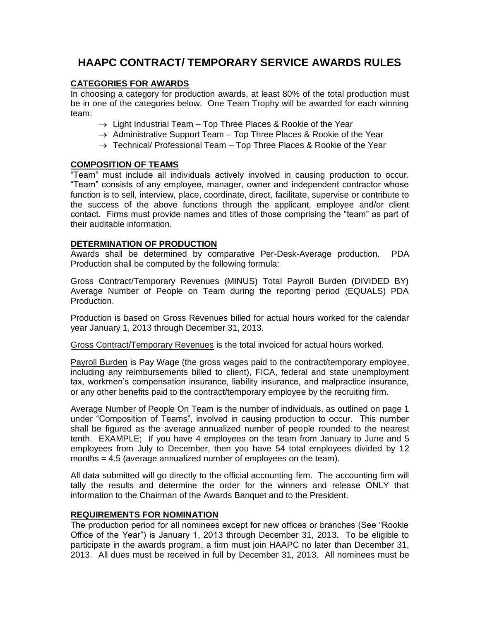# **HAAPC CONTRACT/ TEMPORARY SERVICE AWARDS RULES**

# **CATEGORIES FOR AWARDS**

In choosing a category for production awards, at least 80% of the total production must be in one of the categories below. One Team Trophy will be awarded for each winning team:

- $\rightarrow$  Light Industrial Team Top Three Places & Rookie of the Year
- $\rightarrow$  Administrative Support Team Top Three Places & Rookie of the Year
- $\rightarrow$  Technical/ Professional Team Top Three Places & Rookie of the Year

### **COMPOSITION OF TEAMS**

"Team" must include all individuals actively involved in causing production to occur. "Team" consists of any employee, manager, owner and independent contractor whose function is to sell, interview, place, coordinate, direct, facilitate, supervise or contribute to the success of the above functions through the applicant, employee and/or client contact. Firms must provide names and titles of those comprising the "team" as part of their auditable information.

### **DETERMINATION OF PRODUCTION**

Awards shall be determined by comparative Per-Desk-Average production. PDA Production shall be computed by the following formula:

Gross Contract/Temporary Revenues (MINUS) Total Payroll Burden (DIVIDED BY) Average Number of People on Team during the reporting period (EQUALS) PDA Production.

Production is based on Gross Revenues billed for actual hours worked for the calendar year January 1, 2013 through December 31, 2013.

Gross Contract/Temporary Revenues is the total invoiced for actual hours worked.

Payroll Burden is Pay Wage (the gross wages paid to the contract/temporary employee, including any reimbursements billed to client), FICA, federal and state unemployment tax, workmen's compensation insurance, liability insurance, and malpractice insurance, or any other benefits paid to the contract/temporary employee by the recruiting firm.

Average Number of People On Team is the number of individuals, as outlined on page 1 under "Composition of Teams", involved in causing production to occur. This number shall be figured as the average annualized number of people rounded to the nearest tenth. EXAMPLE; If you have 4 employees on the team from January to June and 5 employees from July to December, then you have 54 total employees divided by 12 months = 4.5 (average annualized number of employees on the team).

All data submitted will go directly to the official accounting firm. The accounting firm will tally the results and determine the order for the winners and release ONLY that information to the Chairman of the Awards Banquet and to the President.

### **REQUIREMENTS FOR NOMINATION**

The production period for all nominees except for new offices or branches (See "Rookie Office of the Year") is January 1, 2013 through December 31, 2013. To be eligible to participate in the awards program, a firm must join HAAPC no later than December 31, 2013. All dues must be received in full by December 31, 2013. All nominees must be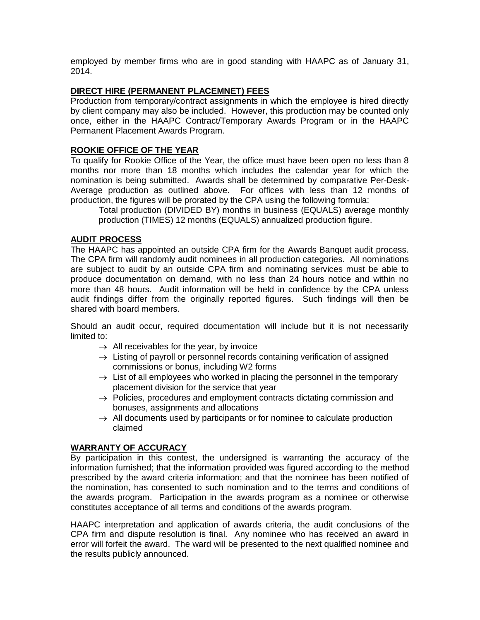employed by member firms who are in good standing with HAAPC as of January 31, 2014.

### **DIRECT HIRE (PERMANENT PLACEMNET) FEES**

Production from temporary/contract assignments in which the employee is hired directly by client company may also be included. However, this production may be counted only once, either in the HAAPC Contract/Temporary Awards Program or in the HAAPC Permanent Placement Awards Program.

### **ROOKIE OFFICE OF THE YEAR**

To qualify for Rookie Office of the Year, the office must have been open no less than 8 months nor more than 18 months which includes the calendar year for which the nomination is being submitted. Awards shall be determined by comparative Per-Desk-Average production as outlined above. For offices with less than 12 months of production, the figures will be prorated by the CPA using the following formula:

Total production (DIVIDED BY) months in business (EQUALS) average monthly production (TIMES) 12 months (EQUALS) annualized production figure.

# **AUDIT PROCESS**

The HAAPC has appointed an outside CPA firm for the Awards Banquet audit process. The CPA firm will randomly audit nominees in all production categories. All nominations are subject to audit by an outside CPA firm and nominating services must be able to produce documentation on demand, with no less than 24 hours notice and within no more than 48 hours. Audit information will be held in confidence by the CPA unless audit findings differ from the originally reported figures. Such findings will then be shared with board members.

Should an audit occur, required documentation will include but it is not necessarily limited to:

- $\rightarrow$  All receivables for the year, by invoice
- $\rightarrow$  Listing of payroll or personnel records containing verification of assigned commissions or bonus, including W2 forms
- $\rightarrow$  List of all employees who worked in placing the personnel in the temporary placement division for the service that year
- $\rightarrow$  Policies, procedures and employment contracts dictating commission and bonuses, assignments and allocations
- $\rightarrow$  All documents used by participants or for nominee to calculate production claimed

### **WARRANTY OF ACCURACY**

By participation in this contest, the undersigned is warranting the accuracy of the information furnished; that the information provided was figured according to the method prescribed by the award criteria information; and that the nominee has been notified of the nomination, has consented to such nomination and to the terms and conditions of the awards program. Participation in the awards program as a nominee or otherwise constitutes acceptance of all terms and conditions of the awards program.

HAAPC interpretation and application of awards criteria, the audit conclusions of the CPA firm and dispute resolution is final. Any nominee who has received an award in error will forfeit the award. The ward will be presented to the next qualified nominee and the results publicly announced.